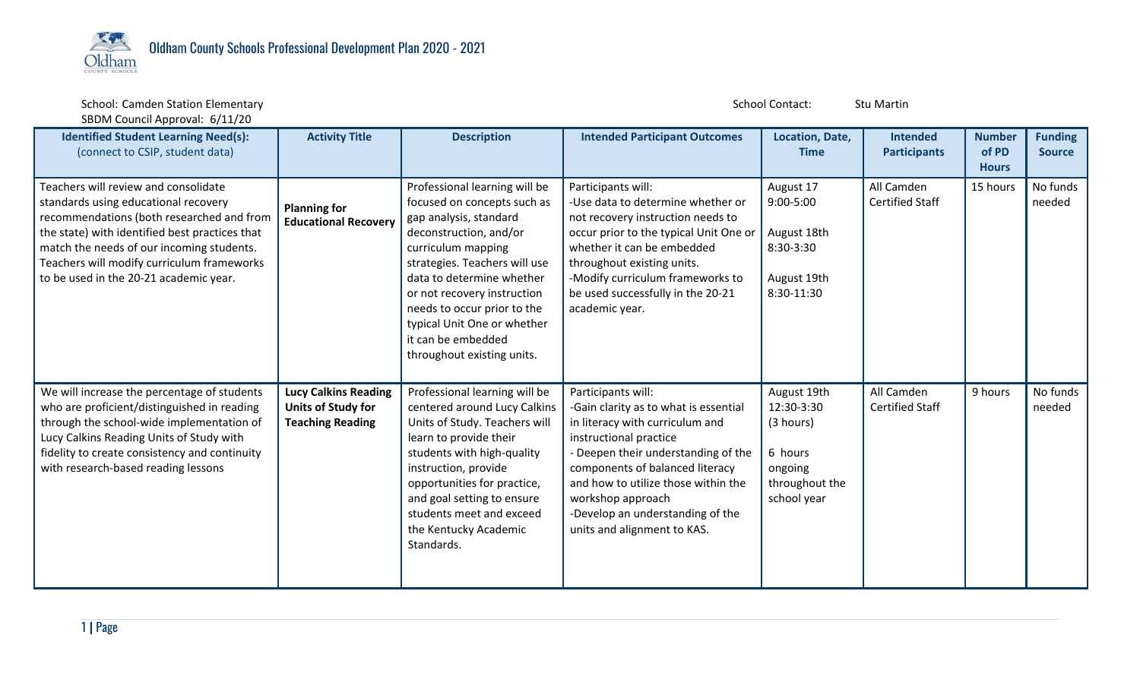

School: Camden Station Elementary and School Contact: Stu Martin Studies and School Contact: Stu Martin Stu Martin SBDM Council Approval: 6/11/20

| <b>Identified Student Learning Need(s):</b><br>(connect to CSIP, student data)                                                                                                                                                                                                                                   | <b>Activity Title</b>                                                               | <b>Description</b>                                                                                                                                                                                                                                                                                                                                    | <b>Intended Participant Outcomes</b>                                                                                                                                                                                                                                                                                              | Location, Date,<br><b>Time</b>                                                                | <b>Intended</b><br><b>Participants</b> | <b>Number</b><br>of PD<br><b>Hours</b> | <b>Funding</b><br><b>Source</b> |
|------------------------------------------------------------------------------------------------------------------------------------------------------------------------------------------------------------------------------------------------------------------------------------------------------------------|-------------------------------------------------------------------------------------|-------------------------------------------------------------------------------------------------------------------------------------------------------------------------------------------------------------------------------------------------------------------------------------------------------------------------------------------------------|-----------------------------------------------------------------------------------------------------------------------------------------------------------------------------------------------------------------------------------------------------------------------------------------------------------------------------------|-----------------------------------------------------------------------------------------------|----------------------------------------|----------------------------------------|---------------------------------|
| Teachers will review and consolidate<br>standards using educational recovery<br>recommendations (both researched and from<br>the state) with identified best practices that<br>match the needs of our incoming students.<br>Teachers will modify curriculum frameworks<br>to be used in the 20-21 academic year. | <b>Planning for</b><br><b>Educational Recovery</b>                                  | Professional learning will be<br>focused on concepts such as<br>gap analysis, standard<br>deconstruction, and/or<br>curriculum mapping<br>strategies. Teachers will use<br>data to determine whether<br>or not recovery instruction<br>needs to occur prior to the<br>typical Unit One or whether<br>it can be embedded<br>throughout existing units. | Participants will:<br>-Use data to determine whether or<br>not recovery instruction needs to<br>occur prior to the typical Unit One or<br>whether it can be embedded<br>throughout existing units.<br>-Modify curriculum frameworks to<br>be used successfully in the 20-21<br>academic year.                                     | August 17<br>$9:00 - 5:00$<br>August 18th<br>8:30-3:30<br>August 19th<br>8:30-11:30           | All Camden<br><b>Certified Staff</b>   | 15 hours                               | No funds<br>needed              |
| We will increase the percentage of students<br>who are proficient/distinguished in reading<br>through the school-wide implementation of<br>Lucy Calkins Reading Units of Study with<br>fidelity to create consistency and continuity<br>with research-based reading lessons                                      | <b>Lucy Calkins Reading</b><br><b>Units of Study for</b><br><b>Teaching Reading</b> | Professional learning will be<br>centered around Lucy Calkins<br>Units of Study. Teachers will<br>learn to provide their<br>students with high-quality<br>instruction, provide<br>opportunities for practice,<br>and goal setting to ensure<br>students meet and exceed<br>the Kentucky Academic<br>Standards.                                        | Participants will:<br>-Gain clarity as to what is essential<br>in literacy with curriculum and<br>instructional practice<br>- Deepen their understanding of the<br>components of balanced literacy<br>and how to utilize those within the<br>workshop approach<br>-Develop an understanding of the<br>units and alignment to KAS. | August 19th<br>12:30-3:30<br>(3 hours)<br>6 hours<br>ongoing<br>throughout the<br>school year | All Camden<br><b>Certified Staff</b>   | 9 hours                                | No funds<br>needed              |